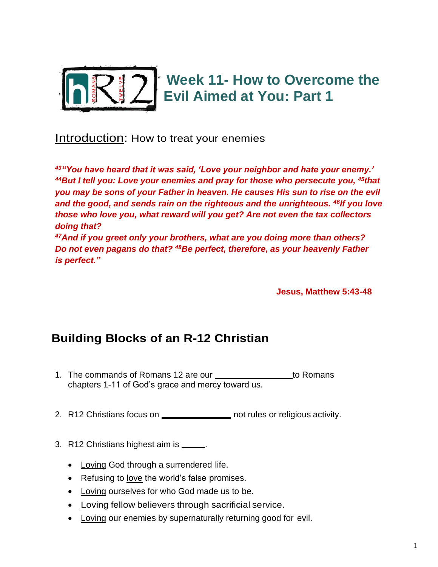

Introduction: How to treat your enemies

*<sup>43</sup>"You have heard that it was said, 'Love your neighbor and hate your enemy.' <sup>44</sup>But I tell you: Love your enemies and pray for those who persecute you, <sup>45</sup>that you may be sons of your Father in heaven. He causes His sun to rise on the evil and the good, and sends rain on the righteous and the unrighteous. <sup>46</sup>If you love those who love you, what reward will you get? Are not even the tax collectors doing that? <sup>47</sup>And if you greet only your brothers, what are you doing more than others?* 

*Do not even pagans do that? <sup>48</sup>Be perfect, therefore, as your heavenly Father is perfect."*

**Jesus, Matthew 5:43-48** 

# **Building Blocks of an R-12 Christian**

- 1. The commands of Romans 12 are our **FAITH RESPONSE 1. The COMMANS** chapters 1-11 of God's grace and mercy toward us.
- 2. R12 Christians focus on **RELACTIONS** not rules or religious activity.
- 3. R12 Christians highest aim is **LACC** 
	- Loving God through a surrendered life.
	- Refusing to love the world's false promises.
	- Loving ourselves for who God made us to be.
	- Loving fellow believers through sacrificial service.
	- Loving our enemies by supernaturally returning good for evil.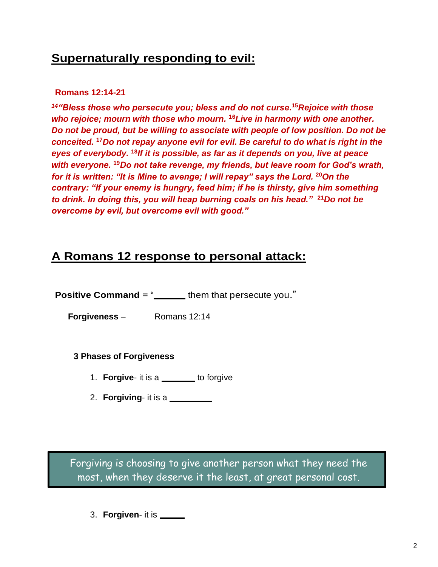## **Supernaturally responding to evil:**

### **Romans 12:14-21**

*<sup>14</sup>"Bless those who persecute you; bless and do not curse***. <sup>15</sup>***Rejoice with those who rejoice; mourn with those who mourn.* **<sup>16</sup>***Live in harmony with one another. Do not be proud, but be willing to associate with people of low position. Do not be conceited.* **<sup>17</sup>***Do not repay anyone evil for evil. Be careful to do what is right in the eyes of everybody.* **<sup>18</sup>***If it is possible, as far as it depends on you, live at peace with everyone.* **<sup>19</sup>***Do not take revenge, my friends, but leave room for God's wrath, for it is written: "It is Mine to avenge; I will repay" says the Lord.* **<sup>20</sup>***On the contrary: "If your enemy is hungry, feed him; if he is thirsty, give him something to drink. In doing this, you will heap burning coals on his head."* **<sup>21</sup>***Do not be overcome by evil, but overcome evil with good."*

## **A Romans 12 response to personal attack:**

**Positive Command** = " **BLESP** them that persecute you."

**Forgiveness** – Romans 12:14

## **3 Phases of Forgiveness**

- 1. **Forgive-** it is a **CHOICE** to forgive
- 2. **Forgiving-** it is a

Forgiving is choosing to give another person what they need the most, when they deserve it the least, at great personal cost.

3. **Forgiven**- it is **DONE**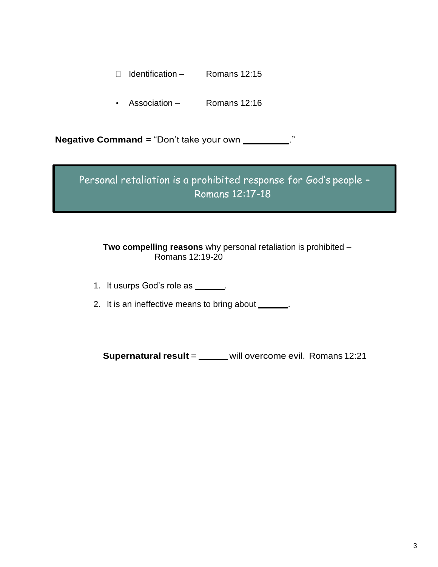- $\Box$  Identification Romans 12:15
- Association Romans 12:16

**Negative Command** = "Don't take your own \_\_\_\_\_\_\_\_\_\_."

Personal retaliation is a prohibited response for God's people – Romans 12:17-18

### **Two compelling reasons** why personal retaliation is prohibited – Romans 12:19-20

- 1. It usurps God's role as **with the ULL**.
- 2. It is an ineffective means to bring about **PEACE**.

**Supernatural result** = \_\_\_\_\_ will overcome evil. Romans 12:21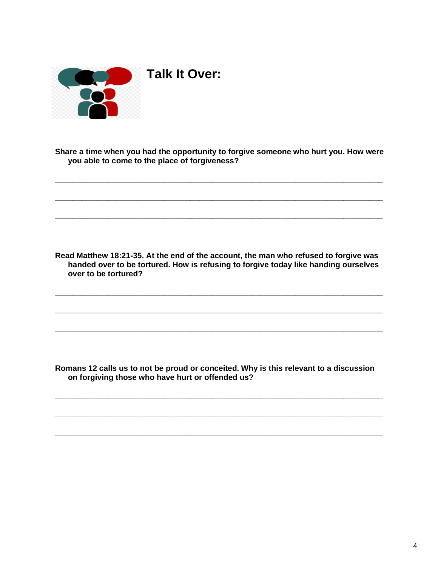

**Share a time when you had the opportunity to forgive someone who hurt you. How were you able to come to the place of forgiveness?**

**\_\_\_\_\_\_\_\_\_\_\_\_\_\_\_\_\_\_\_\_\_\_\_\_\_\_\_\_\_\_\_\_\_\_\_\_\_\_\_\_\_\_\_\_\_\_\_\_\_\_\_\_\_\_\_\_\_\_\_\_\_\_\_\_\_\_\_\_\_\_\_\_\_\_\_**

**\_\_\_\_\_\_\_\_\_\_\_\_\_\_\_\_\_\_\_\_\_\_\_\_\_\_\_\_\_\_\_\_\_\_\_\_\_\_\_\_\_\_\_\_\_\_\_\_\_\_\_\_\_\_\_\_\_\_\_\_\_\_\_\_\_\_\_\_\_\_\_\_\_\_\_**

**\_\_\_\_\_\_\_\_\_\_\_\_\_\_\_\_\_\_\_\_\_\_\_\_\_\_\_\_\_\_\_\_\_\_\_\_\_\_\_\_\_\_\_\_\_\_\_\_\_\_\_\_\_\_\_\_\_\_\_\_\_\_\_\_\_\_\_\_\_\_\_\_\_\_\_**

**Read Matthew 18:21-35. At the end of the account, the man who refused to forgive was handed over to be tortured. How is refusing to forgive today like handing ourselves over to be tortured?**

**\_\_\_\_\_\_\_\_\_\_\_\_\_\_\_\_\_\_\_\_\_\_\_\_\_\_\_\_\_\_\_\_\_\_\_\_\_\_\_\_\_\_\_\_\_\_\_\_\_\_\_\_\_\_\_\_\_\_\_\_\_\_\_\_\_\_\_\_\_\_\_\_\_\_\_**

**\_\_\_\_\_\_\_\_\_\_\_\_\_\_\_\_\_\_\_\_\_\_\_\_\_\_\_\_\_\_\_\_\_\_\_\_\_\_\_\_\_\_\_\_\_\_\_\_\_\_\_\_\_\_\_\_\_\_\_\_\_\_\_\_\_\_\_\_\_\_\_\_\_\_\_**

**\_\_\_\_\_\_\_\_\_\_\_\_\_\_\_\_\_\_\_\_\_\_\_\_\_\_\_\_\_\_\_\_\_\_\_\_\_\_\_\_\_\_\_\_\_\_\_\_\_\_\_\_\_\_\_\_\_\_\_\_\_\_\_\_\_\_\_\_\_\_\_\_\_\_\_**

**Romans 12 calls us to not be proud or conceited. Why is this relevant to a discussion on forgiving those who have hurt or offended us?**

**\_\_\_\_\_\_\_\_\_\_\_\_\_\_\_\_\_\_\_\_\_\_\_\_\_\_\_\_\_\_\_\_\_\_\_\_\_\_\_\_\_\_\_\_\_\_\_\_\_\_\_\_\_\_\_\_\_\_\_\_\_\_\_\_\_\_\_\_\_\_\_\_\_\_\_**

**\_\_\_\_\_\_\_\_\_\_\_\_\_\_\_\_\_\_\_\_\_\_\_\_\_\_\_\_\_\_\_\_\_\_\_\_\_\_\_\_\_\_\_\_\_\_\_\_\_\_\_\_\_\_\_\_\_\_\_\_\_\_\_\_\_\_\_\_\_\_\_\_\_\_\_**

**\_\_\_\_\_\_\_\_\_\_\_\_\_\_\_\_\_\_\_\_\_\_\_\_\_\_\_\_\_\_\_\_\_\_\_\_\_\_\_\_\_\_\_\_\_\_\_\_\_\_\_\_\_\_\_\_\_\_\_\_\_\_\_\_\_\_\_\_\_\_\_\_\_\_\_**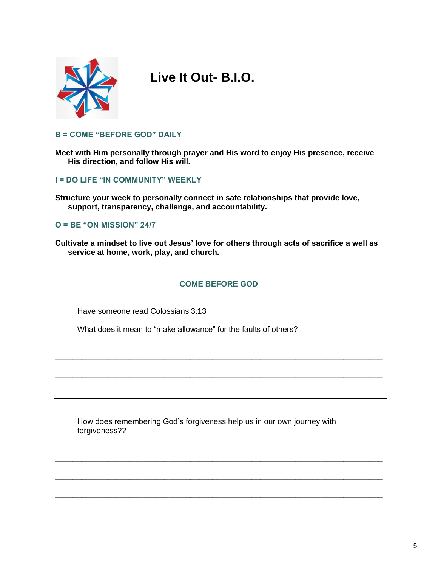

# **Live It Out- B.I.O.**

#### **B = COME "BEFORE GOD" DAILY**

**Meet with Him personally through prayer and His word to enjoy His presence, receive His direction, and follow His will.** 

#### **I = DO LIFE "IN COMMUNITY" WEEKLY**

**Structure your week to personally connect in safe relationships that provide love, support, transparency, challenge, and accountability.** 

#### **O = BE "ON MISSION" 24/7**

**Cultivate a mindset to live out Jesus' love for others through acts of sacrifice a well as service at home, work, play, and church.** 

#### **COME BEFORE GOD**

**\_\_\_\_\_\_\_\_\_\_\_\_\_\_\_\_\_\_\_\_\_\_\_\_\_\_\_\_\_\_\_\_\_\_\_\_\_\_\_\_\_\_\_\_\_\_\_\_\_\_\_\_\_\_\_\_\_\_\_\_\_\_\_\_\_\_\_\_\_\_\_\_\_\_\_**

**\_\_\_\_\_\_\_\_\_\_\_\_\_\_\_\_\_\_\_\_\_\_\_\_\_\_\_\_\_\_\_\_\_\_\_\_\_\_\_\_\_\_\_\_\_\_\_\_\_\_\_\_\_\_\_\_\_\_\_\_\_\_\_\_\_\_\_\_\_\_\_\_\_\_\_**

**\_\_\_\_\_\_\_\_\_\_\_\_\_\_\_\_\_\_\_\_\_\_\_\_\_\_\_\_\_\_\_\_\_\_\_\_\_\_\_\_\_\_\_\_\_\_\_\_\_\_\_\_\_\_\_\_\_\_\_\_\_\_\_\_\_\_\_\_\_\_\_\_\_\_\_**

**\_\_\_\_\_\_\_\_\_\_\_\_\_\_\_\_\_\_\_\_\_\_\_\_\_\_\_\_\_\_\_\_\_\_\_\_\_\_\_\_\_\_\_\_\_\_\_\_\_\_\_\_\_\_\_\_\_\_\_\_\_\_\_\_\_\_\_\_\_\_\_\_\_\_\_**

**\_\_\_\_\_\_\_\_\_\_\_\_\_\_\_\_\_\_\_\_\_\_\_\_\_\_\_\_\_\_\_\_\_\_\_\_\_\_\_\_\_\_\_\_\_\_\_\_\_\_\_\_\_\_\_\_\_\_\_\_\_\_\_\_\_\_\_\_\_\_\_\_\_\_\_**

Have someone read Colossians 3:13

What does it mean to "make allowance" for the faults of others?

How does remembering God's forgiveness help us in our own journey with forgiveness??